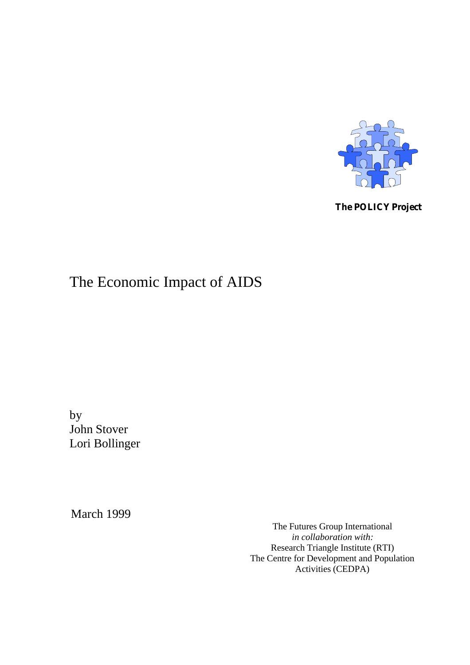

**The POLICY Project**

# The Economic Impact of AIDS

by John Stover Lori Bollinger

March 1999

The Futures Group International *in collaboration with:* Research Triangle Institute (RTI) The Centre for Development and Population Activities (CEDPA)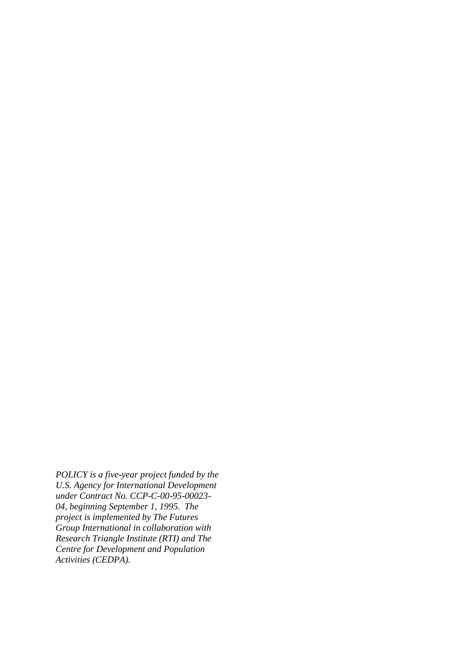*POLICY is a five-year project funded by the U.S. Agency for International Development under Contract No. CCP-C-00-95-00023- 04, beginning September 1, 1995. The project is implemented by The Futures Group International in collaboration with Research Triangle Institute (RTI) and The Centre for Development and Population Activities (CEDPA).*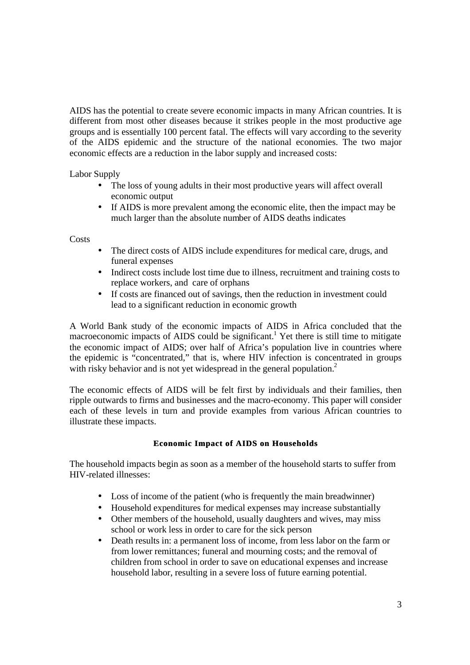AIDS has the potential to create severe economic impacts in many African countries. It is different from most other diseases because it strikes people in the most productive age groups and is essentially 100 percent fatal. The effects will vary according to the severity of the AIDS epidemic and the structure of the national economies. The two major economic effects are a reduction in the labor supply and increased costs:

Labor Supply

- The loss of young adults in their most productive years will affect overall economic output
- If AIDS is more prevalent among the economic elite, then the impact may be much larger than the absolute number of AIDS deaths indicates

**Costs** 

- The direct costs of AIDS include expenditures for medical care, drugs, and funeral expenses
- Indirect costs include lost time due to illness, recruitment and training costs to replace workers, and care of orphans
- If costs are financed out of savings, then the reduction in investment could lead to a significant reduction in economic growth

A World Bank study of the economic impacts of AIDS in Africa concluded that the macroeconomic impacts of AIDS could be significant.<sup>1</sup> Yet there is still time to mitigate the economic impact of AIDS; over half of Africa's population live in countries where the epidemic is "concentrated," that is, where HIV infection is concentrated in groups with risky behavior and is not yet widespread in the general population.<sup>2</sup>

The economic effects of AIDS will be felt first by individuals and their families, then ripple outwards to firms and businesses and the macro-economy. This paper will consider each of these levels in turn and provide examples from various African countries to illustrate these impacts.

# **Economic Impact of AIDS on Households**

The household impacts begin as soon as a member of the household starts to suffer from HIV-related illnesses:

- Loss of income of the patient (who is frequently the main breadwinner)
- Household expenditures for medical expenses may increase substantially
- Other members of the household, usually daughters and wives, may miss school or work less in order to care for the sick person
- Death results in: a permanent loss of income, from less labor on the farm or from lower remittances; funeral and mourning costs; and the removal of children from school in order to save on educational expenses and increase household labor, resulting in a severe loss of future earning potential.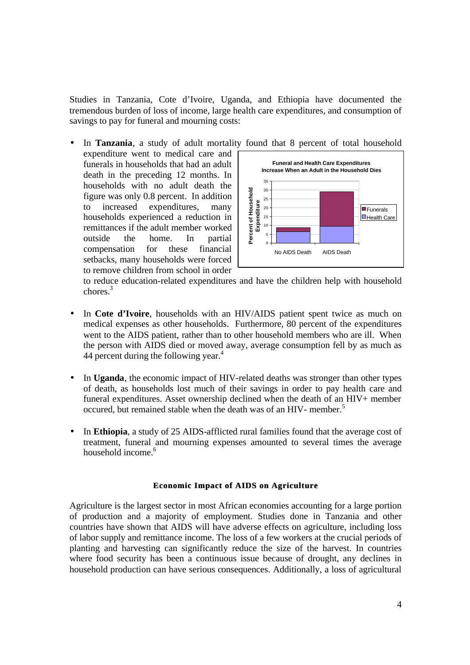Studies in Tanzania, Cote d'Ivoire, Uganda, and Ethiopia have documented the tremendous burden of loss of income, large health care expenditures, and consumption of savings to pay for funeral and mourning costs:

• In **Tanzania**, a study of adult mortality found that 8 percent of total household expenditure went to medical care and funerals in households that had an adult death in the preceding 12 months. In households with no adult death the figure was only 0.8 percent. In addition to increased expenditures, many households experienced a reduction in remittances if the adult member worked outside the home. In partial compensation for these financial setbacks, many households were forced to remove children from school in order



to reduce education-related expenditures and have the children help with household chores.<sup>3</sup>

- In **Cote d'Ivoire**, households with an HIV/AIDS patient spent twice as much on medical expenses as other households. Furthermore, 80 percent of the expenditures went to the AIDS patient, rather than to other household members who are ill. When the person with AIDS died or moved away, average consumption fell by as much as 44 percent during the following year.<sup>4</sup>
- In **Uganda**, the economic impact of HIV-related deaths was stronger than other types of death, as households lost much of their savings in order to pay health care and funeral expenditures. Asset ownership declined when the death of an HIV+ member occured, but remained stable when the death was of an HIV- member.<sup>5</sup>
- In **Ethiopia**, a study of 25 AIDS-afflicted rural families found that the average cost of treatment, funeral and mourning expenses amounted to several times the average household income.<sup>6</sup>

# **Economic Impact of AIDS on Agriculture**

Agriculture is the largest sector in most African economies accounting for a large portion of production and a majority of employment. Studies done in Tanzania and other countries have shown that AIDS will have adverse effects on agriculture, including loss of labor supply and remittance income. The loss of a few workers at the crucial periods of planting and harvesting can significantly reduce the size of the harvest. In countries where food security has been a continuous issue because of drought, any declines in household production can have serious consequences. Additionally, a loss of agricultural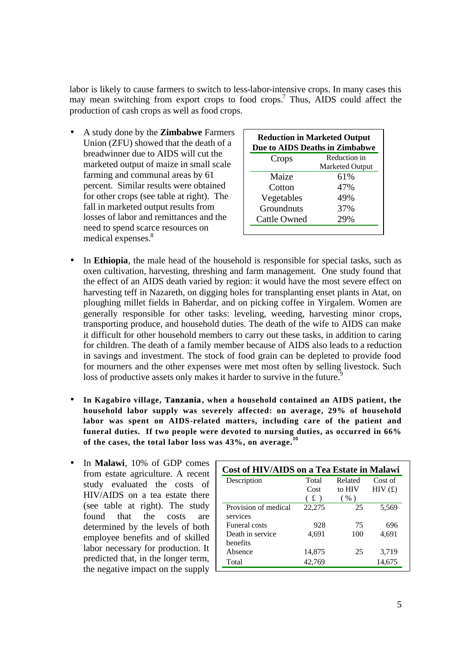labor is likely to cause farmers to switch to less-labor-intensive crops. In many cases this may mean switching from export crops to food crops.<sup>7</sup> Thus, AIDS could affect the production of cash crops as well as food crops.

• A study done by the **Zimbabwe** Farmers Union (ZFU) showed that the death of a breadwinner due to AIDS will cut the marketed output of maize in small scale farming and communal areas by 61 percent. Similar results were obtained for other crops (see table at right). The fall in marketed output results from losses of labor and remittances and the need to spend scarce resources on medical expenses.<sup>8</sup>

|                     | <b>Reduction in Marketed Output</b><br>Due to AIDS Deaths in Zimbabwe |
|---------------------|-----------------------------------------------------------------------|
| Crops               | Reduction in                                                          |
|                     | Marketed Output                                                       |
| Maize               | 61%                                                                   |
| Cotton              | 47%                                                                   |
| Vegetables          | 49%                                                                   |
| Groundnuts          | 37%                                                                   |
| <b>Cattle Owned</b> | 29%                                                                   |

- In **Ethiopia**, the male head of the household is responsible for special tasks, such as oxen cultivation, harvesting, threshing and farm management. One study found that the effect of an AIDS death varied by region: it would have the most severe effect on harvesting teff in Nazareth, on digging holes for transplanting enset plants in Atat, on ploughing millet fields in Baherdar, and on picking coffee in Yirgalem. Women are generally responsible for other tasks: leveling, weeding, harvesting minor crops, transporting produce, and household duties. The death of the wife to AIDS can make it difficult for other household members to carry out these tasks, in addition to caring for children. The death of a family member because of AIDS also leads to a reduction in savings and investment. The stock of food grain can be depleted to provide food for mourners and the other expenses were met most often by selling livestock. Such loss of productive assets only makes it harder to survive in the future.<sup>9</sup>
- **In Kagabiro village, Tanzania, when a household contained an AIDS patient, the household labor supply was severely affected: on average, 29% of household labor was spent on AIDS-related matters, including care of the patient and funeral duties. If two people were devoted to nursing duties, as occurred in 66% of the cases, the total labor loss was 43%, on average.<sup>10</sup>**
- In **Malawi**, 10% of GDP comes from estate agriculture. A recent study evaluated the costs of HIV/AIDS on a tea estate there (see table at right). The study found that the costs are determined by the levels of both employee benefits and of skilled labor necessary for production. It predicted that, in the longer term, the negative impact on the supply

| Cost of HIV/AIDS on a Tea Estate in Malawi |        |         |         |
|--------------------------------------------|--------|---------|---------|
| Description                                | Total  | Related | Cost of |
|                                            | Cost   | to HIV  | HIV(f)  |
|                                            | (£)    | $($ %)  |         |
| Provision of medical                       | 22,275 | 25      | 5,569   |
| services                                   |        |         |         |
| <b>Funeral costs</b>                       | 928    | 75      | 696     |
| Death in service                           | 4,691  | 100     | 4,691   |
| benefits                                   |        |         |         |
| Absence                                    | 14,875 | 25      | 3,719   |
| Total                                      | 42,769 |         | 14,675  |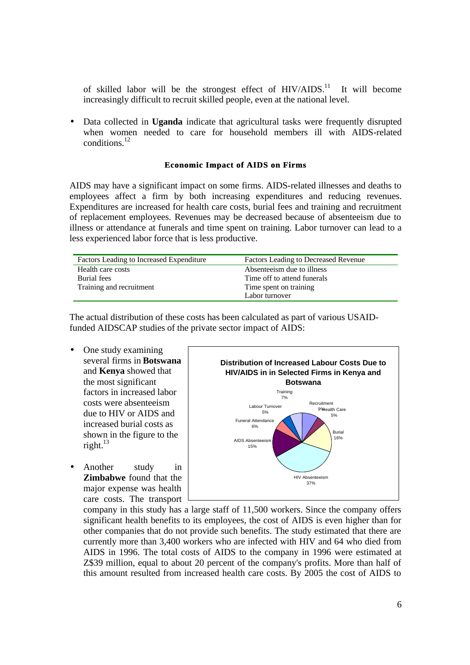of skilled labor will be the strongest effect of HIV/AIDS.<sup>11</sup> It will become increasingly difficult to recruit skilled people, even at the national level.

• Data collected in **Uganda** indicate that agricultural tasks were frequently disrupted when women needed to care for household members ill with AIDS-related conditions.<sup>12</sup>

#### **Economic Impact of AIDS on Firms**

AIDS may have a significant impact on some firms. AIDS-related illnesses and deaths to employees affect a firm by both increasing expenditures and reducing revenues. Expenditures are increased for health care costs, burial fees and training and recruitment of replacement employees. Revenues may be decreased because of absenteeism due to illness or attendance at funerals and time spent on training. Labor turnover can lead to a less experienced labor force that is less productive.

| Factors Leading to Increased Expenditure | <b>Factors Leading to Decreased Revenue</b> |
|------------------------------------------|---------------------------------------------|
| Health care costs                        | Absenteeism due to illness                  |
| Burial fees                              | Time off to attend funerals                 |
| Training and recruitment                 | Time spent on training                      |
|                                          | Labor turnover                              |

The actual distribution of these costs has been calculated as part of various USAIDfunded AIDSCAP studies of the private sector impact of AIDS:

- One study examining several firms in **Botswana** and **Kenya** showed that the most significant factors in increased labor costs were absenteeism due to HIV or AIDS and increased burial costs as shown in the figure to the right. $^{13}$
- Another study in **Zimbabwe** found that the major expense was health care costs. The transport



company in this study has a large staff of 11,500 workers. Since the company offers significant health benefits to its employees, the cost of AIDS is even higher than for other companies that do not provide such benefits. The study estimated that there are currently more than 3,400 workers who are infected with HIV and 64 who died from AIDS in 1996. The total costs of AIDS to the company in 1996 were estimated at Z\$39 million, equal to about 20 percent of the company's profits. More than half of this amount resulted from increased health care costs. By 2005 the cost of AIDS to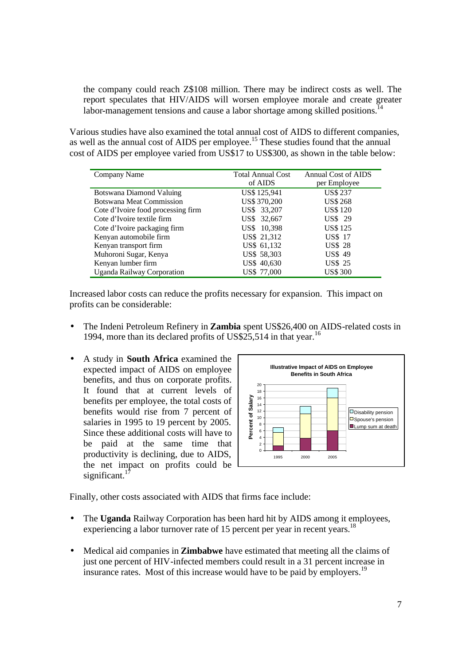the company could reach Z\$108 million. There may be indirect costs as well. The report speculates that HIV/AIDS will worsen employee morale and create greater labor-management tensions and cause a labor shortage among skilled positions.<sup>14</sup>

Various studies have also examined the total annual cost of AIDS to different companies, as well as the annual cost of AIDS per employee.<sup>15</sup> These studies found that the annual cost of AIDS per employee varied from US\$17 to US\$300, as shown in the table below:

| Company Name                       | <b>Total Annual Cost</b> | <b>Annual Cost of AIDS</b> |
|------------------------------------|--------------------------|----------------------------|
|                                    | of AIDS                  | per Employee               |
| Botswana Diamond Valuing           | US\$ 125,941             | <b>US\$237</b>             |
| <b>Botswana Meat Commission</b>    | US\$ 370,200             | <b>US\$ 268</b>            |
| Cote d'Ivoire food processing firm | US\$ 33,207              | <b>US\$120</b>             |
| Cote d'Ivoire textile firm         | US\$ 32,667              | US\$ 29                    |
| Cote d'Ivoire packaging firm       | US\$ 10,398              | <b>US\$125</b>             |
| Kenyan automobile firm             | US\$ 21,312              | <b>US\$ 17</b>             |
| Kenyan transport firm              | US\$ 61,132              | <b>US\$ 28</b>             |
| Muhoroni Sugar, Kenya              | US\$ 58,303              | <b>US\$ 49</b>             |
| Kenyan lumber firm                 | US\$ 40,630              | <b>US\$ 25</b>             |
| <b>Uganda Railway Corporation</b>  | US\$ 77,000              | <b>US\$ 300</b>            |

Increased labor costs can reduce the profits necessary for expansion. This impact on profits can be considerable:

- The Indeni Petroleum Refinery in **Zambia** spent US\$26,400 on AIDS-related costs in 1994, more than its declared profits of US\$25,514 in that year.<sup>16</sup>
- A study in **South Africa** examined the expected impact of AIDS on employee benefits, and thus on corporate profits. It found that at current levels of benefits per employee, the total costs of benefits would rise from 7 percent of salaries in 1995 to 19 percent by 2005. Since these additional costs will have to be paid at the same time that productivity is declining, due to AIDS, the net impact on profits could be significant. $17$



Finally, other costs associated with AIDS that firms face include:

- The **Uganda** Railway Corporation has been hard hit by AIDS among it employees, experiencing a labor turnover rate of 15 percent per year in recent years.<sup>18</sup>
- Medical aid companies in **Zimbabwe** have estimated that meeting all the claims of just one percent of HIV-infected members could result in a 31 percent increase in insurance rates. Most of this increase would have to be paid by employers.<sup>19</sup>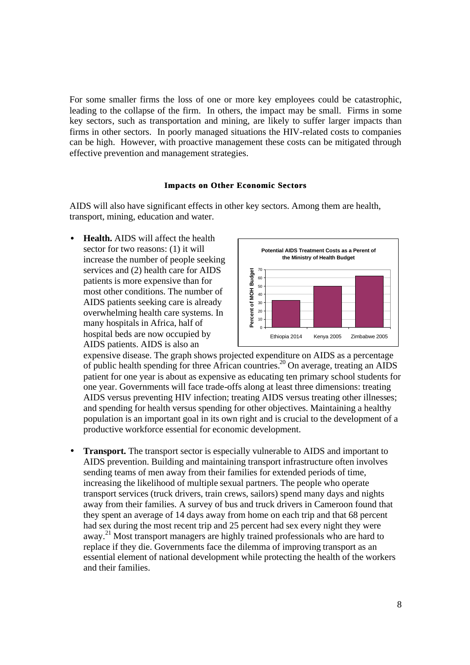For some smaller firms the loss of one or more key employees could be catastrophic, leading to the collapse of the firm. In others, the impact may be small. Firms in some key sectors, such as transportation and mining, are likely to suffer larger impacts than firms in other sectors. In poorly managed situations the HIV-related costs to companies can be high. However, with proactive management these costs can be mitigated through effective prevention and management strategies.

#### **Impacts on Other Economic Sectors**

AIDS will also have significant effects in other key sectors. Among them are health, transport, mining, education and water.

**Health.** AIDS will affect the health sector for two reasons: (1) it will increase the number of people seeking services and (2) health care for AIDS patients is more expensive than for most other conditions. The number of AIDS patients seeking care is already overwhelming health care systems. In many hospitals in Africa, half of hospital beds are now occupied by AIDS patients. AIDS is also an



expensive disease. The graph shows projected expenditure on AIDS as a percentage of public health spending for three African countries.<sup>20</sup> On average, treating an AIDS patient for one year is about as expensive as educating ten primary school students for one year. Governments will face trade-offs along at least three dimensions: treating AIDS versus preventing HIV infection; treating AIDS versus treating other illnesses; and spending for health versus spending for other objectives. Maintaining a healthy population is an important goal in its own right and is crucial to the development of a productive workforce essential for economic development.

**Transport.** The transport sector is especially vulnerable to AIDS and important to AIDS prevention. Building and maintaining transport infrastructure often involves sending teams of men away from their families for extended periods of time, increasing the likelihood of multiple sexual partners. The people who operate transport services (truck drivers, train crews, sailors) spend many days and nights away from their families. A survey of bus and truck drivers in Cameroon found that they spent an average of 14 days away from home on each trip and that 68 percent had sex during the most recent trip and 25 percent had sex every night they were away.<sup>21</sup> Most transport managers are highly trained professionals who are hard to replace if they die. Governments face the dilemma of improving transport as an essential element of national development while protecting the health of the workers and their families.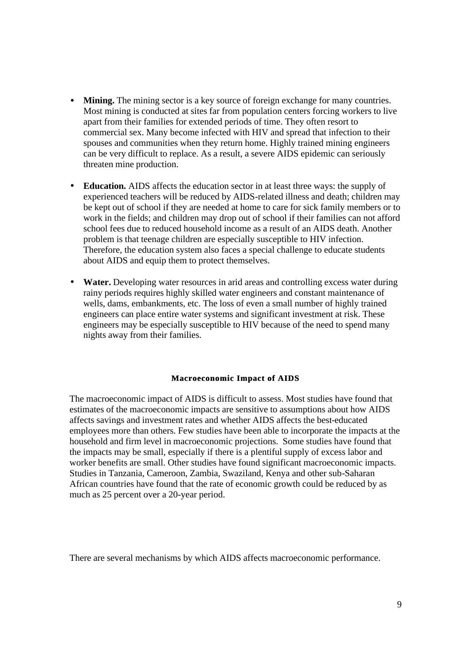- **Mining.** The mining sector is a key source of foreign exchange for many countries. Most mining is conducted at sites far from population centers forcing workers to live apart from their families for extended periods of time. They often resort to commercial sex. Many become infected with HIV and spread that infection to their spouses and communities when they return home. Highly trained mining engineers can be very difficult to replace. As a result, a severe AIDS epidemic can seriously threaten mine production.
- **Education.** AIDS affects the education sector in at least three ways: the supply of experienced teachers will be reduced by AIDS-related illness and death; children may be kept out of school if they are needed at home to care for sick family members or to work in the fields; and children may drop out of school if their families can not afford school fees due to reduced household income as a result of an AIDS death. Another problem is that teenage children are especially susceptible to HIV infection. Therefore, the education system also faces a special challenge to educate students about AIDS and equip them to protect themselves.
- **Water.** Developing water resources in arid areas and controlling excess water during rainy periods requires highly skilled water engineers and constant maintenance of wells, dams, embankments, etc. The loss of even a small number of highly trained engineers can place entire water systems and significant investment at risk. These engineers may be especially susceptible to HIV because of the need to spend many nights away from their families.

# **Macroeconomic Impact of AIDS**

The macroeconomic impact of AIDS is difficult to assess. Most studies have found that estimates of the macroeconomic impacts are sensitive to assumptions about how AIDS affects savings and investment rates and whether AIDS affects the best-educated employees more than others. Few studies have been able to incorporate the impacts at the household and firm level in macroeconomic projections. Some studies have found that the impacts may be small, especially if there is a plentiful supply of excess labor and worker benefits are small. Other studies have found significant macroeconomic impacts. Studies in Tanzania, Cameroon, Zambia, Swaziland, Kenya and other sub-Saharan African countries have found that the rate of economic growth could be reduced by as much as 25 percent over a 20-year period.

There are several mechanisms by which AIDS affects macroeconomic performance.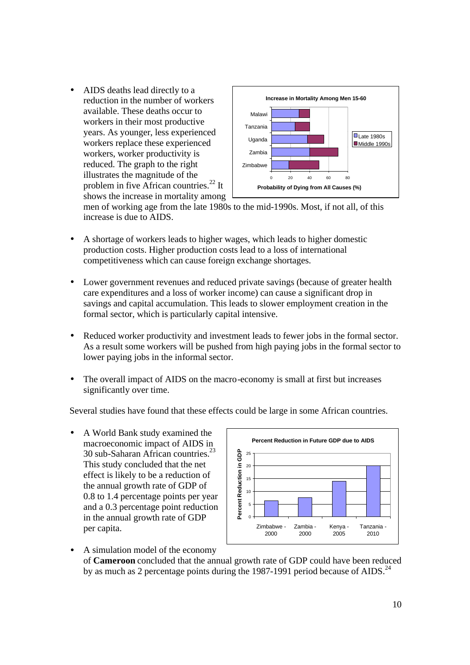• AIDS deaths lead directly to a reduction in the number of workers available. These deaths occur to workers in their most productive years. As younger, less experienced workers replace these experienced workers, worker productivity is reduced. The graph to the right illustrates the magnitude of the problem in five African countries.<sup>22</sup> It shows the increase in mortality among



men of working age from the late 1980s to the mid-1990s. Most, if not all, of this increase is due to AIDS.

- A shortage of workers leads to higher wages, which leads to higher domestic production costs. Higher production costs lead to a loss of international competitiveness which can cause foreign exchange shortages.
- Lower government revenues and reduced private savings (because of greater health care expenditures and a loss of worker income) can cause a significant drop in savings and capital accumulation. This leads to slower employment creation in the formal sector, which is particularly capital intensive.
- Reduced worker productivity and investment leads to fewer jobs in the formal sector. As a result some workers will be pushed from high paying jobs in the formal sector to lower paying jobs in the informal sector.
- The overall impact of AIDS on the macro-economy is small at first but increases significantly over time.

Several studies have found that these effects could be large in some African countries.

• A World Bank study examined the macroeconomic impact of AIDS in 30 sub-Saharan African countries.<sup>23</sup> This study concluded that the net effect is likely to be a reduction of the annual growth rate of GDP of 0.8 to 1.4 percentage points per year and a 0.3 percentage point reduction in the annual growth rate of GDP per capita.



• A simulation model of the economy of **Cameroon** concluded that the annual growth rate of GDP could have been reduced by as much as 2 percentage points during the 1987-1991 period because of AIDS.<sup>24</sup>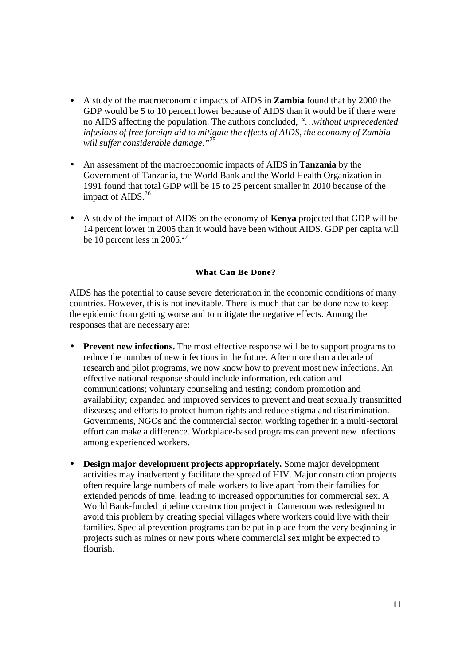- A study of the macroeconomic impacts of AIDS in **Zambia** found that by 2000 the GDP would be 5 to 10 percent lower because of AIDS than it would be if there were no AIDS affecting the population. The authors concluded, *"…without unprecedented infusions of free foreign aid to mitigate the effects of AIDS, the economy of Zambia will suffer considerable damage."<sup>25</sup>*
- An assessment of the macroeconomic impacts of AIDS in **Tanzania** by the Government of Tanzania, the World Bank and the World Health Organization in 1991 found that total GDP will be 15 to 25 percent smaller in 2010 because of the impact of AIDS.<sup>26</sup>
- A study of the impact of AIDS on the economy of **Kenya** projected that GDP will be 14 percent lower in 2005 than it would have been without AIDS. GDP per capita will be 10 percent less in 2005.<sup>27</sup>

# **What Can Be Done?**

AIDS has the potential to cause severe deterioration in the economic conditions of many countries. However, this is not inevitable. There is much that can be done now to keep the epidemic from getting worse and to mitigate the negative effects. Among the responses that are necessary are:

- **Prevent new infections.** The most effective response will be to support programs to reduce the number of new infections in the future. After more than a decade of research and pilot programs, we now know how to prevent most new infections. An effective national response should include information, education and communications; voluntary counseling and testing; condom promotion and availability; expanded and improved services to prevent and treat sexually transmitted diseases; and efforts to protect human rights and reduce stigma and discrimination. Governments, NGOs and the commercial sector, working together in a multi-sectoral effort can make a difference. Workplace-based programs can prevent new infections among experienced workers.
- **Design major development projects appropriately.** Some major development activities may inadvertently facilitate the spread of HIV. Major construction projects often require large numbers of male workers to live apart from their families for extended periods of time, leading to increased opportunities for commercial sex. A World Bank-funded pipeline construction project in Cameroon was redesigned to avoid this problem by creating special villages where workers could live with their families. Special prevention programs can be put in place from the very beginning in projects such as mines or new ports where commercial sex might be expected to flourish.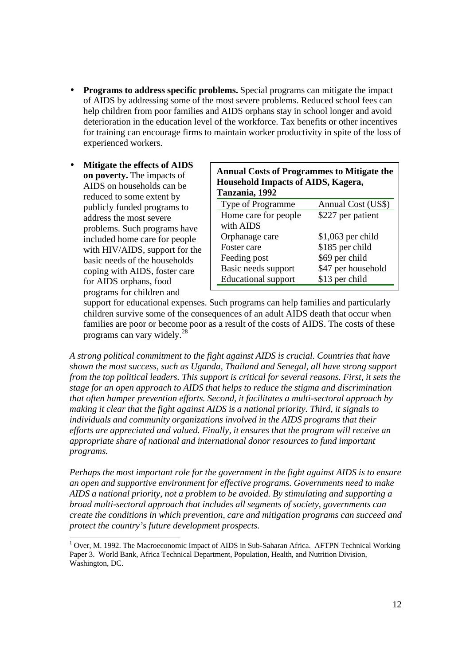- **Programs to address specific problems.** Special programs can mitigate the impact of AIDS by addressing some of the most severe problems. Reduced school fees can help children from poor families and AIDS orphans stay in school longer and avoid deterioration in the education level of the workforce. Tax benefits or other incentives for training can encourage firms to maintain worker productivity in spite of the loss of experienced workers.
- **Mitigate the effects of AIDS on poverty.** The impacts of AIDS on households can be reduced to some extent by publicly funded programs to address the most severe problems. Such programs have included home care for people with HIV/AIDS, support for the basic needs of the households coping with AIDS, foster care for AIDS orphans, food programs for children and

-

| Household Impacts of AIDS, Kagera,<br>Tanzania, 1992<br>Annual Cost (US\$)<br>Type of Programme<br>Home care for people<br>\$227 per patient<br>with AIDS<br>Orphanage care<br>$$1,063$ per child |
|---------------------------------------------------------------------------------------------------------------------------------------------------------------------------------------------------|
|                                                                                                                                                                                                   |
|                                                                                                                                                                                                   |
|                                                                                                                                                                                                   |
|                                                                                                                                                                                                   |
|                                                                                                                                                                                                   |
|                                                                                                                                                                                                   |
| \$185 per child<br>Foster care                                                                                                                                                                    |
| \$69 per child<br>Feeding post                                                                                                                                                                    |
| Basic needs support<br>\$47 per household                                                                                                                                                         |
| <b>Educational support</b><br>\$13 per child                                                                                                                                                      |

support for educational expenses. Such programs can help families and particularly children survive some of the consequences of an adult AIDS death that occur when families are poor or become poor as a result of the costs of AIDS. The costs of these programs can vary widely.<sup>28</sup>

*A strong political commitment to the fight against AIDS is crucial. Countries that have shown the most success, such as Uganda, Thailand and Senegal, all have strong support from the top political leaders. This support is critical for several reasons. First, it sets the stage for an open approach to AIDS that helps to reduce the stigma and discrimination that often hamper prevention efforts. Second, it facilitates a multi-sectoral approach by making it clear that the fight against AIDS is a national priority. Third, it signals to individuals and community organizations involved in the AIDS programs that their efforts are appreciated and valued. Finally, it ensures that the program will receive an appropriate share of national and international donor resources to fund important programs.*

*Perhaps the most important role for the government in the fight against AIDS is to ensure an open and supportive environment for effective programs. Governments need to make AIDS a national priority, not a problem to be avoided. By stimulating and supporting a broad multi-sectoral approach that includes all segments of society, governments can create the conditions in which prevention, care and mitigation programs can succeed and protect the country's future development prospects.*

<sup>&</sup>lt;sup>1</sup> Over, M. 1992. The Macroeconomic Impact of AIDS in Sub-Saharan Africa. AFTPN Technical Working Paper 3. World Bank, Africa Technical Department, Population, Health, and Nutrition Division, Washington, DC.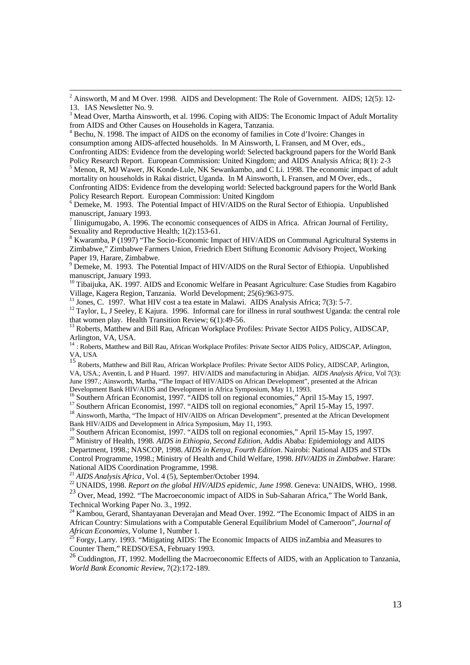-

Policy Research Report. European Commission: United Kingdom; and AIDS Analysis Africa; 8(1): 2-3 <sup>5</sup> Menon, R, MJ Wawer, JK Konde-Lule, NK Sewankambo, and C Li. 1998. The economic impact of adult

mortality on households in Rakai district, Uganda. In M Ainsworth, L Fransen, and M Over, eds., Confronting AIDS: Evidence from the developing world: Selected background papers for the World Bank Policy Research Report. European Commission: United Kingdom

<sup>6</sup> Demeke, M. 1993. The Potential Impact of HIV/AIDS on the Rural Sector of Ethiopia. Unpublished manuscript, January 1993.

7 Ilinigumugabo, A. 1996. The economic consequences of AIDS in Africa. African Journal of Fertility, Sexuality and Reproductive Health; 1(2):153-61.

8 Kwaramba, P (1997) "The Socio-Economic Impact of HIV/AIDS on Communal Agricultural Systems in Zimbabwe," Zimbabwe Farmers Union, Friedrich Ebert Stiftung Economic Advisory Project, Working Paper 19, Harare, Zimbabwe.

<sup>9</sup> Demeke, M. 1993. The Potential Impact of HIV/AIDS on the Rural Sector of Ethiopia. Unpublished manuscript, January 1993.

<sup>10</sup> Tibaijuka, AK. 1997. AIDS and Economic Welfare in Peasant Agriculture: Case Studies from Kagabiro Village, Kagera Region, Tanzania. World Development; 25(6):963-975.

<sup>11</sup> Jones, C. 1997. What HIV cost a tea estate in Malawi. AIDS Analysis Africa; 7(3): 5-7.

<sup>12</sup> Taylor, L, J Seeley, E Kajura. 1996. Informal care for illness in rural southwest Uganda: the central role that women play. Health Transition Review; 6(1):49-56.

<sup>13</sup> Roberts, Matthew and Bill Rau, African Workplace Profiles: Private Sector AIDS Policy, AIDSCAP, Arlington, VA, USA.

<sup>14</sup> : Roberts. Matthew and Bill Rau, African Workplace Profiles: Private Sector AIDS Policy, AIDSCAP, Arlington, VA, USA

<sup>15</sup> Roberts, Matthew and Bill Rau, African Workplace Profiles: Private Sector AIDS Policy, AIDSCAP, Arlington, VA, USA.; Aventin, L and P Huard. 1997. HIV/AIDS and manufacturing in Abidjan. *AIDS Analysis Africa*, Vol 7(3): June 1997.; Ainsworth, Martha, "The Impact of HIV/AIDS on African Development", presented at the African Development Bank HIV/AIDS and Development in Africa Symposium, May 11, 1993.

<sup>16</sup> Southern African Economist, 1997. "AIDS toll on regional economies," April 15-May 15, 1997.

<sup>17</sup> Southern African Economist, 1997. "AIDS toll on regional economies," April 15-May 15, 1997.

<sup>18</sup> Ainsworth, Martha, "The Impact of HIV/AIDS on African Development", presented at the African Development Bank HIV/AIDS and Development in Africa Symposium, May 11, 1993.

<sup>19</sup> Southern African Economist, 1997. "AIDS toll on regional economies," April 15-May 15, 1997.

<sup>20</sup> Ministry of Health, 1998. *AIDS in Ethiopia, Second Edition*, Addis Ababa: Epidemiology and AIDS Department, 1998.; NASCOP, 1998. *AIDS in Kenya, Fourth Edition*. Nairobi: National AIDS and STDs Control Programme, 1998.; Ministry of Health and Child Welfare, 1998. *HIV/AIDS in Zimbabwe*. Harare: National AIDS Coordination Programme, 1998.

<sup>21</sup> *AIDS Analysis Africa*, Vol. 4 (5), September/October 1994.

<sup>22</sup> UNAIDS, 1998. *Report on the global HIV/AIDS epidemic, June 1998*. Geneva: UNAIDS, WHO,. 1998.

<sup>23</sup> Over, Mead, 1992. "The Macroeconomic impact of AIDS in Sub-Saharan Africa," The World Bank, Technical Working Paper No. 3., 1992.

<sup>24</sup> Kambou, Gerard, Shantayanan Deverajan and Mead Over. 1992. "The Economic Impact of AIDS in an African Country: Simulations with a Computable General Equilibrium Model of Cameroon", *Journal of African Economies*, Volume 1, Number 1.

<sup>25</sup> Forgy, Larry. 1993. "Mitigating AIDS: The Economic Impacts of AIDS inZambia and Measures to Counter Them," REDSO/ESA, February 1993.

<sup>26</sup> Cuddington, JT, 1992. Modelling the Macroeconomic Effects of AIDS, with an Application to Tanzania, *World Bank Economic Review*, 7(2):172-189.

 $2^{2}$  Ainsworth, M and M Over. 1998. AIDS and Development: The Role of Government. AIDS; 12(5): 12-13. IAS Newsletter No. 9.

<sup>&</sup>lt;sup>3</sup> Mead Over, Martha Ainsworth, et al. 1996. Coping with AIDS: The Economic Impact of Adult Mortality from AIDS and Other Causes on Households in Kagera, Tanzania.

<sup>4</sup> Bechu, N. 1998. The impact of AIDS on the economy of families in Cote d'Ivoire: Changes in consumption among AIDS-affected households. In M Ainsworth, L Fransen, and M Over, eds., Confronting AIDS: Evidence from the developing world: Selected background papers for the World Bank